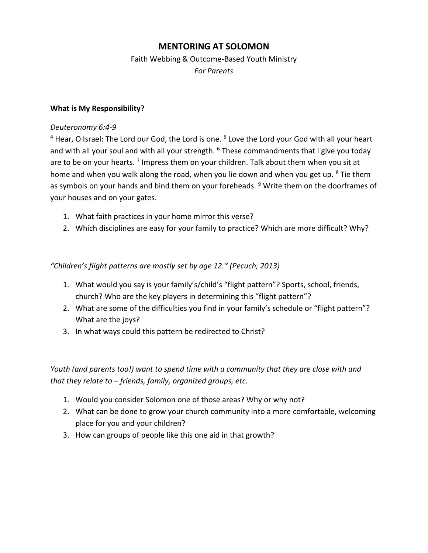# **MENTORING AT SOLOMON**

# Faith Webbing & Outcome-Based Youth Ministry *For Parents*

### **What is My Responsibility?**

### *Deuteronomy 6:4-9*

 $<sup>4</sup>$  Hear, O Israel: The Lord our God, the Lord is one.  $<sup>5</sup>$  Love the Lord your God with all your heart</sup></sup> and with all your soul and with all your strength.  $6$  These commandments that I give you today are to be on your hearts. <sup>7</sup> Impress them on your children. Talk about them when you sit at home and when you walk along the road, when you lie down and when you get up.  $8$  Tie them as symbols on your hands and bind them on your foreheads. <sup>9</sup> Write them on the doorframes of your houses and on your gates.

- 1. What faith practices in your home mirror this verse?
- 2. Which disciplines are easy for your family to practice? Which are more difficult? Why?

*"Children's flight patterns are mostly set by age 12." (Pecuch, 2013)*

- 1. What would you say is your family's/child's "flight pattern"? Sports, school, friends, church? Who are the key players in determining this "flight pattern"?
- 2. What are some of the difficulties you find in your family's schedule or "flight pattern"? What are the joys?
- 3. In what ways could this pattern be redirected to Christ?

*Youth (and parents too!) want to spend time with a community that they are close with and that they relate to – friends, family, organized groups, etc.* 

- 1. Would you consider Solomon one of those areas? Why or why not?
- 2. What can be done to grow your church community into a more comfortable, welcoming place for you and your children?
- 3. How can groups of people like this one aid in that growth?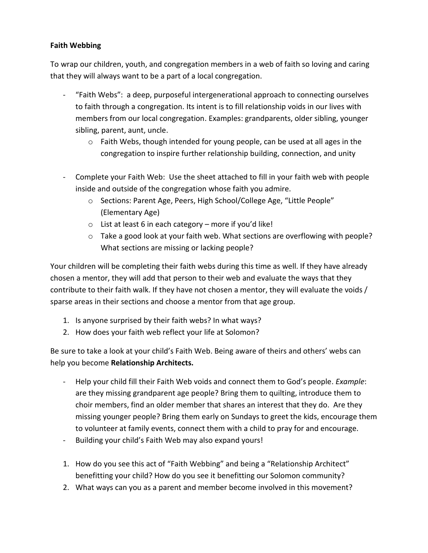## **Faith Webbing**

To wrap our children, youth, and congregation members in a web of faith so loving and caring that they will always want to be a part of a local congregation.

- "Faith Webs": a deep, purposeful intergenerational approach to connecting ourselves to faith through a congregation. Its intent is to fill relationship voids in our lives with members from our local congregation. Examples: grandparents, older sibling, younger sibling, parent, aunt, uncle.
	- o Faith Webs, though intended for young people, can be used at all ages in the congregation to inspire further relationship building, connection, and unity
- Complete your Faith Web: Use the sheet attached to fill in your faith web with people inside and outside of the congregation whose faith you admire.
	- o Sections: Parent Age, Peers, High School/College Age, "Little People" (Elementary Age)
	- $\circ$  List at least 6 in each category more if you'd like!
	- $\circ$  Take a good look at your faith web. What sections are overflowing with people? What sections are missing or lacking people?

Your children will be completing their faith webs during this time as well. If they have already chosen a mentor, they will add that person to their web and evaluate the ways that they contribute to their faith walk. If they have not chosen a mentor, they will evaluate the voids / sparse areas in their sections and choose a mentor from that age group.

- 1. Is anyone surprised by their faith webs? In what ways?
- 2. How does your faith web reflect your life at Solomon?

Be sure to take a look at your child's Faith Web. Being aware of theirs and others' webs can help you become **Relationship Architects.**

- Help your child fill their Faith Web voids and connect them to God's people. *Example*: are they missing grandparent age people? Bring them to quilting, introduce them to choir members, find an older member that shares an interest that they do. Are they missing younger people? Bring them early on Sundays to greet the kids, encourage them to volunteer at family events, connect them with a child to pray for and encourage.
- Building your child's Faith Web may also expand yours!
- 1. How do you see this act of "Faith Webbing" and being a "Relationship Architect" benefitting your child? How do you see it benefitting our Solomon community?
- 2. What ways can you as a parent and member become involved in this movement?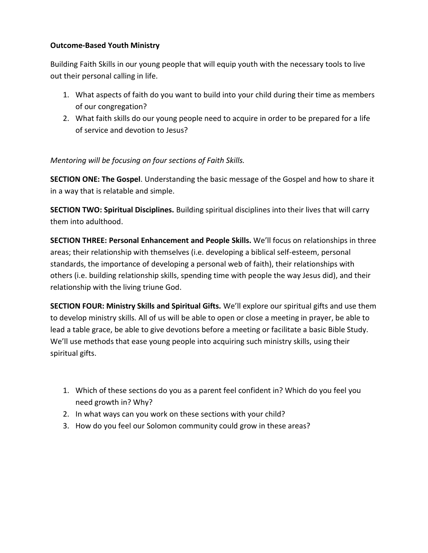## **Outcome-Based Youth Ministry**

Building Faith Skills in our young people that will equip youth with the necessary tools to live out their personal calling in life.

- 1. What aspects of faith do you want to build into your child during their time as members of our congregation?
- 2. What faith skills do our young people need to acquire in order to be prepared for a life of service and devotion to Jesus?

*Mentoring will be focusing on four sections of Faith Skills.* 

**SECTION ONE: The Gospel**. Understanding the basic message of the Gospel and how to share it in a way that is relatable and simple.

**SECTION TWO: Spiritual Disciplines.** Building spiritual disciplines into their lives that will carry them into adulthood.

**SECTION THREE: Personal Enhancement and People Skills.** We'll focus on relationships in three areas; their relationship with themselves (i.e. developing a biblical self-esteem, personal standards, the importance of developing a personal web of faith), their relationships with others (i.e. building relationship skills, spending time with people the way Jesus did), and their relationship with the living triune God.

**SECTION FOUR: Ministry Skills and Spiritual Gifts.** We'll explore our spiritual gifts and use them to develop ministry skills. All of us will be able to open or close a meeting in prayer, be able to lead a table grace, be able to give devotions before a meeting or facilitate a basic Bible Study. We'll use methods that ease young people into acquiring such ministry skills, using their spiritual gifts.

- 1. Which of these sections do you as a parent feel confident in? Which do you feel you need growth in? Why?
- 2. In what ways can you work on these sections with your child?
- 3. How do you feel our Solomon community could grow in these areas?